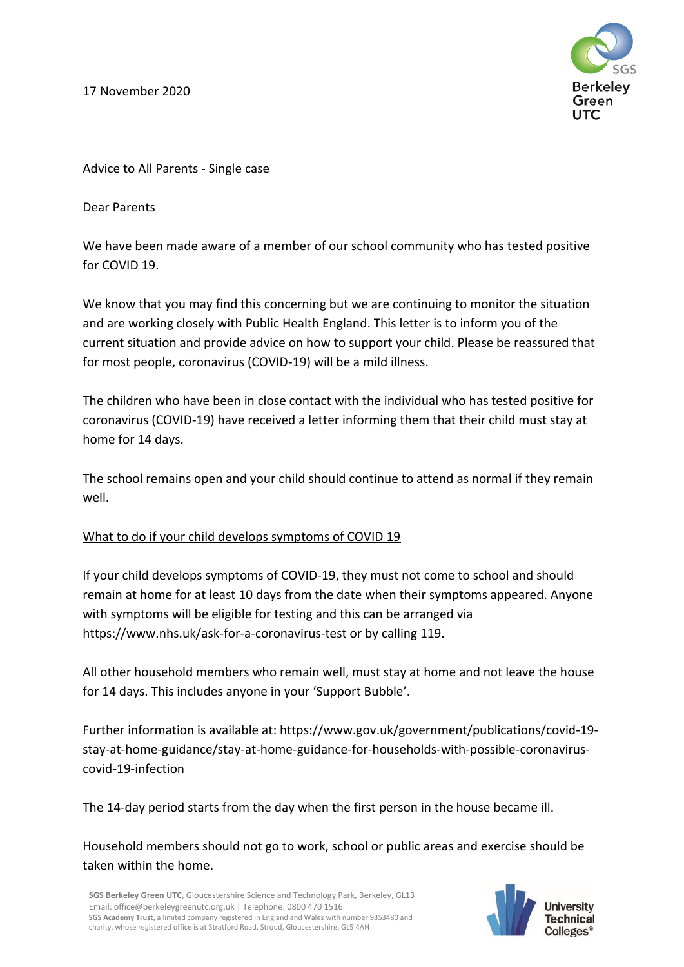17 November 2020



Advice to All Parents - Single case

Dear Parents

We have been made aware of a member of our school community who has tested positive for COVID 19.

We know that you may find this concerning but we are continuing to monitor the situation and are working closely with Public Health England. This letter is to inform you of the current situation and provide advice on how to support your child. Please be reassured that for most people, coronavirus (COVID-19) will be a mild illness.

The children who have been in close contact with the individual who has tested positive for coronavirus (COVID-19) have received a letter informing them that their child must stay at home for 14 days.

The school remains open and your child should continue to attend as normal if they remain well.

## What to do if your child develops symptoms of COVID 19

If your child develops symptoms of COVID-19, they must not come to school and should remain at home for at least 10 days from the date when their symptoms appeared. Anyone with symptoms will be eligible for testing and this can be arranged via https://www.nhs.uk/ask-for-a-coronavirus-test or by calling 119.

All other household members who remain well, must stay at home and not leave the house for 14 days. This includes anyone in your 'Support Bubble'.

Further information is available at: https://www.gov.uk/government/publications/covid-19 stay-at-home-guidance/stay-at-home-guidance-for-households-with-possible-coronaviruscovid-19-infection

The 14-day period starts from the day when the first person in the house became ill.

Household members should not go to work, school or public areas and exercise should be taken within the home.